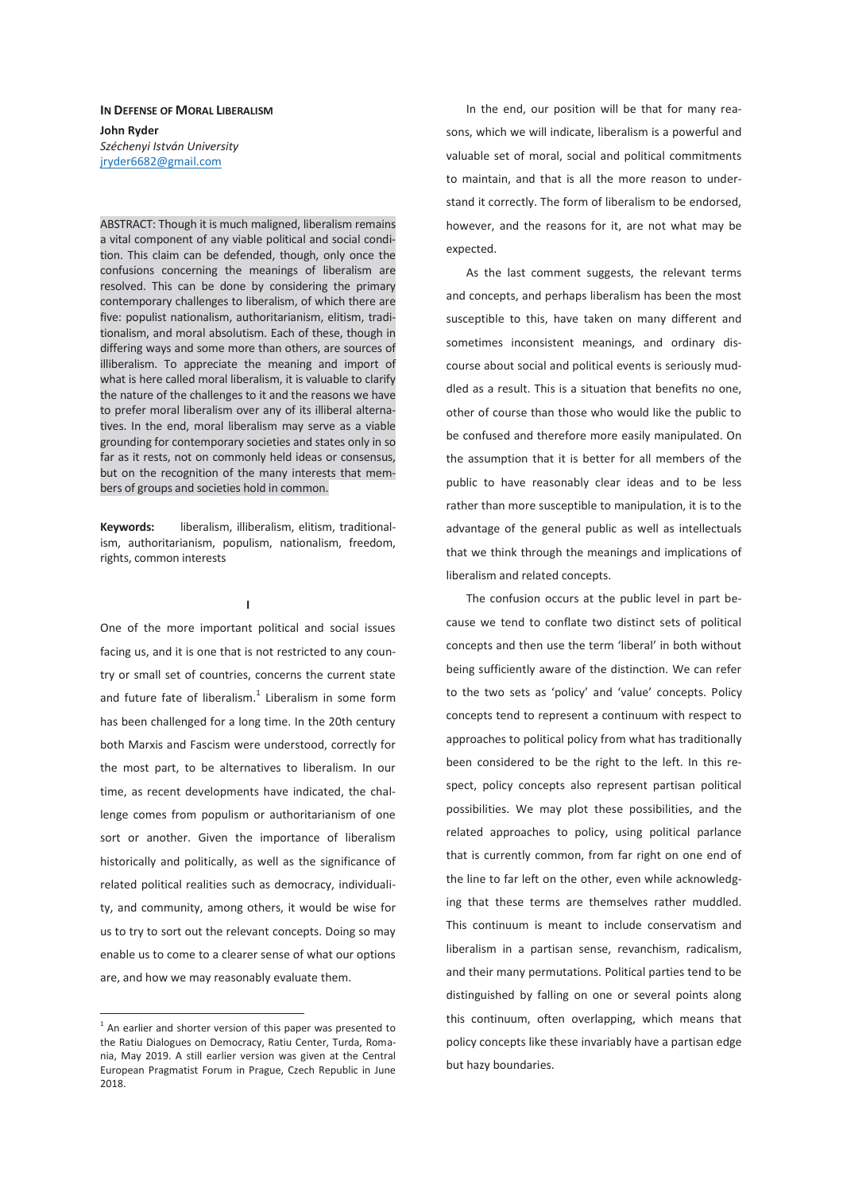## **IN DEFENSE OF MORAL LIBERALISM John Ryder**  *Széchenyi István University*  jryder6682@gmail.com

ABSTRACT: Though it is much maligned, liberalism remains a vital component of any viable political and social condition. This claim can be defended, though, only once the confusions concerning the meanings of liberalism are resolved. This can be done by considering the primary contemporary challenges to liberalism, of which there are five: populist nationalism, authoritarianism, elitism, traditionalism, and moral absolutism. Each of these, though in differing ways and some more than others, are sources of illiberalism. To appreciate the meaning and import of what is here called moral liberalism, it is valuable to clarify the nature of the challenges to it and the reasons we have to prefer moral liberalism over any of its illiberal alternatives. In the end, moral liberalism may serve as a viable grounding for contemporary societies and states only in so far as it rests, not on commonly held ideas or consensus, but on the recognition of the many interests that members of groups and societies hold in common.

**Keywords:** liberalism, illiberalism, elitism, traditionalism, authoritarianism, populism, nationalism, freedom, rights, common interests

**I** 

One of the more important political and social issues facing us, and it is one that is not restricted to any country or small set of countries, concerns the current state and future fate of liberalism. $1$  Liberalism in some form has been challenged for a long time. In the 20th century both Marxis and Fascism were understood, correctly for the most part, to be alternatives to liberalism. In our time, as recent developments have indicated, the challenge comes from populism or authoritarianism of one sort or another. Given the importance of liberalism historically and politically, as well as the significance of related political realities such as democracy, individuality, and community, among others, it would be wise for us to try to sort out the relevant concepts. Doing so may enable us to come to a clearer sense of what our options are, and how we may reasonably evaluate them.

 $1$  An earlier and shorter version of this paper was presented to the Ratiu Dialogues on Democracy, Ratiu Center, Turda, Romania, May 2019. A still earlier version was given at the Central European Pragmatist Forum in Prague, Czech Republic in June 2018.

 $\overline{a}$ 

In the end, our position will be that for many reasons, which we will indicate, liberalism is a powerful and valuable set of moral, social and political commitments to maintain, and that is all the more reason to understand it correctly. The form of liberalism to be endorsed, however, and the reasons for it, are not what may be expected.

As the last comment suggests, the relevant terms and concepts, and perhaps liberalism has been the most susceptible to this, have taken on many different and sometimes inconsistent meanings, and ordinary discourse about social and political events is seriously muddled as a result. This is a situation that benefits no one, other of course than those who would like the public to be confused and therefore more easily manipulated. On the assumption that it is better for all members of the public to have reasonably clear ideas and to be less rather than more susceptible to manipulation, it is to the advantage of the general public as well as intellectuals that we think through the meanings and implications of liberalism and related concepts.

The confusion occurs at the public level in part because we tend to conflate two distinct sets of political concepts and then use the term 'liberal' in both without being sufficiently aware of the distinction. We can refer to the two sets as 'policy' and 'value' concepts. Policy concepts tend to represent a continuum with respect to approaches to political policy from what has traditionally been considered to be the right to the left. In this respect, policy concepts also represent partisan political possibilities. We may plot these possibilities, and the related approaches to policy, using political parlance that is currently common, from far right on one end of the line to far left on the other, even while acknowledging that these terms are themselves rather muddled. This continuum is meant to include conservatism and liberalism in a partisan sense, revanchism, radicalism, and their many permutations. Political parties tend to be distinguished by falling on one or several points along this continuum, often overlapping, which means that policy concepts like these invariably have a partisan edge but hazy boundaries.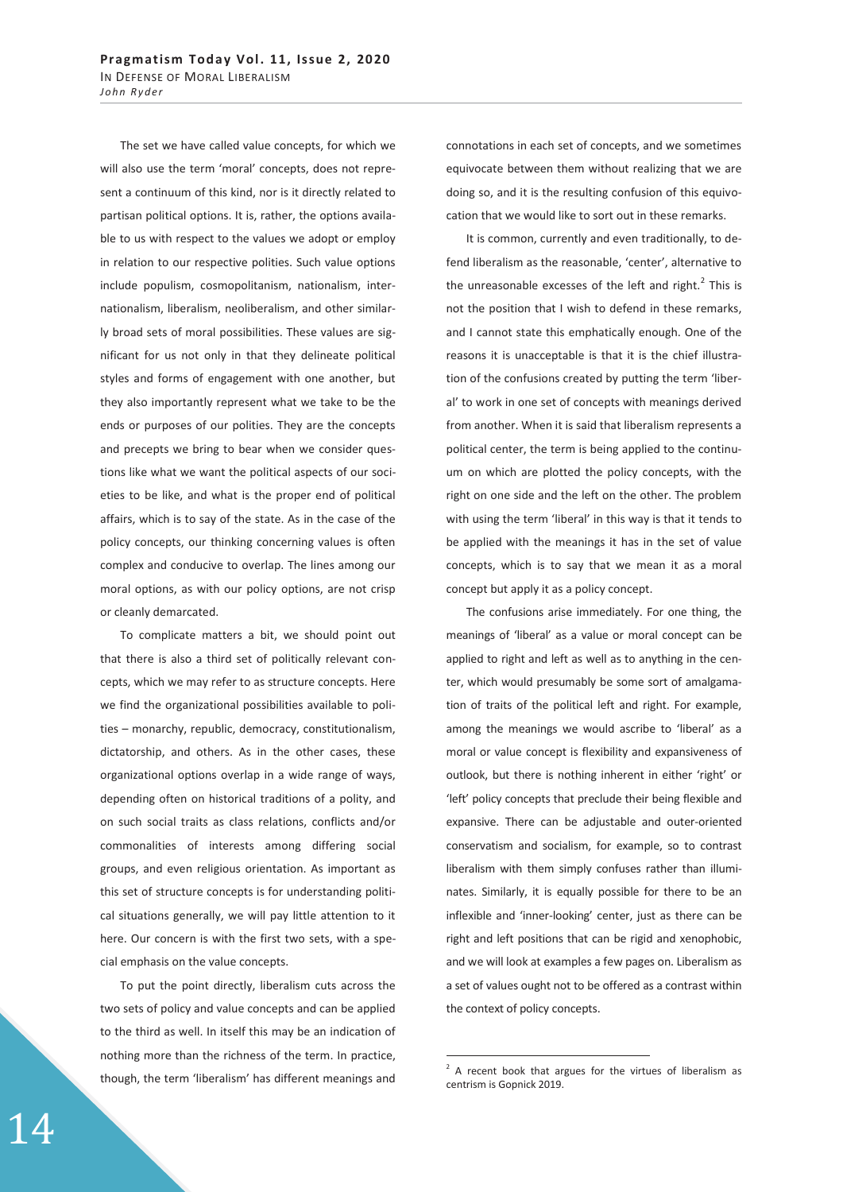The set we have called value concepts, for which we will also use the term 'moral' concepts, does not represent a continuum of this kind, nor is it directly related to partisan political options. It is, rather, the options available to us with respect to the values we adopt or employ in relation to our respective polities. Such value options include populism, cosmopolitanism, nationalism, internationalism, liberalism, neoliberalism, and other similarly broad sets of moral possibilities. These values are significant for us not only in that they delineate political styles and forms of engagement with one another, but they also importantly represent what we take to be the ends or purposes of our polities. They are the concepts and precepts we bring to bear when we consider questions like what we want the political aspects of our societies to be like, and what is the proper end of political affairs, which is to say of the state. As in the case of the policy concepts, our thinking concerning values is often complex and conducive to overlap. The lines among our moral options, as with our policy options, are not crisp or cleanly demarcated.

To complicate matters a bit, we should point out that there is also a third set of politically relevant concepts, which we may refer to as structure concepts. Here we find the organizational possibilities available to polities – monarchy, republic, democracy, constitutionalism, dictatorship, and others. As in the other cases, these organizational options overlap in a wide range of ways, depending often on historical traditions of a polity, and on such social traits as class relations, conflicts and/or commonalities of interests among differing social groups, and even religious orientation. As important as this set of structure concepts is for understanding political situations generally, we will pay little attention to it here. Our concern is with the first two sets, with a special emphasis on the value concepts.

To put the point directly, liberalism cuts across the two sets of policy and value concepts and can be applied to the third as well. In itself this may be an indication of nothing more than the richness of the term. In practice, though, the term 'liberalism' has different meanings and

connotations in each set of concepts, and we sometimes equivocate between them without realizing that we are doing so, and it is the resulting confusion of this equivocation that we would like to sort out in these remarks.

It is common, currently and even traditionally, to defend liberalism as the reasonable, 'center', alternative to the unreasonable excesses of the left and right. $^2$  This is not the position that I wish to defend in these remarks, and I cannot state this emphatically enough. One of the reasons it is unacceptable is that it is the chief illustration of the confusions created by putting the term 'liberal' to work in one set of concepts with meanings derived from another. When it is said that liberalism represents a political center, the term is being applied to the continuum on which are plotted the policy concepts, with the right on one side and the left on the other. The problem with using the term 'liberal' in this way is that it tends to be applied with the meanings it has in the set of value concepts, which is to say that we mean it as a moral concept but apply it as a policy concept.

The confusions arise immediately. For one thing, the meanings of 'liberal' as a value or moral concept can be applied to right and left as well as to anything in the center, which would presumably be some sort of amalgamation of traits of the political left and right. For example, among the meanings we would ascribe to 'liberal' as a moral or value concept is flexibility and expansiveness of outlook, but there is nothing inherent in either 'right' or 'left' policy concepts that preclude their being flexible and expansive. There can be adjustable and outer-oriented conservatism and socialism, for example, so to contrast liberalism with them simply confuses rather than illuminates. Similarly, it is equally possible for there to be an inflexible and 'inner-looking' center, just as there can be right and left positions that can be rigid and xenophobic, and we will look at examples a few pages on. Liberalism as a set of values ought not to be offered as a contrast within the context of policy concepts.

 $\overline{a}$ 

 $2$  A recent book that argues for the virtues of liberalism as centrism is Gopnick 2019.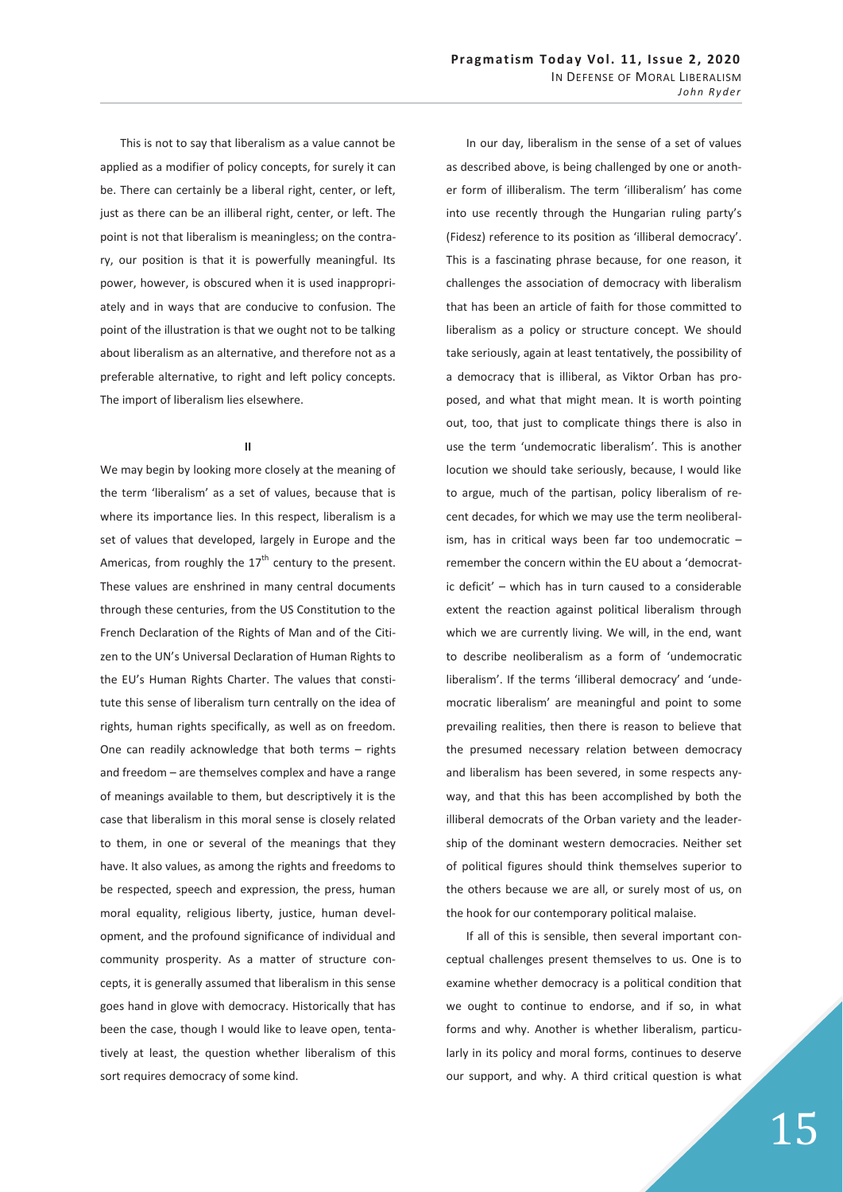This is not to say that liberalism as a value cannot be applied as a modifier of policy concepts, for surely it can be. There can certainly be a liberal right, center, or left, just as there can be an illiberal right, center, or left. The point is not that liberalism is meaningless; on the contrary, our position is that it is powerfully meaningful. Its power, however, is obscured when it is used inappropriately and in ways that are conducive to confusion. The point of the illustration is that we ought not to be talking about liberalism as an alternative, and therefore not as a preferable alternative, to right and left policy concepts. The import of liberalism lies elsewhere.

## **II**

We may begin by looking more closely at the meaning of the term 'liberalism' as a set of values, because that is where its importance lies. In this respect, liberalism is a set of values that developed, largely in Europe and the Americas, from roughly the  $17<sup>th</sup>$  century to the present. These values are enshrined in many central documents through these centuries, from the US Constitution to the French Declaration of the Rights of Man and of the Citizen to the UN's Universal Declaration of Human Rights to the EU's Human Rights Charter. The values that constitute this sense of liberalism turn centrally on the idea of rights, human rights specifically, as well as on freedom. One can readily acknowledge that both terms – rights and freedom – are themselves complex and have a range of meanings available to them, but descriptively it is the case that liberalism in this moral sense is closely related to them, in one or several of the meanings that they have. It also values, as among the rights and freedoms to be respected, speech and expression, the press, human moral equality, religious liberty, justice, human development, and the profound significance of individual and community prosperity. As a matter of structure concepts, it is generally assumed that liberalism in this sense goes hand in glove with democracy. Historically that has been the case, though I would like to leave open, tentatively at least, the question whether liberalism of this sort requires democracy of some kind.

In our day, liberalism in the sense of a set of values as described above, is being challenged by one or another form of illiberalism. The term 'illiberalism' has come into use recently through the Hungarian ruling party's (Fidesz) reference to its position as 'illiberal democracy'. This is a fascinating phrase because, for one reason, it challenges the association of democracy with liberalism that has been an article of faith for those committed to liberalism as a policy or structure concept. We should take seriously, again at least tentatively, the possibility of a democracy that is illiberal, as Viktor Orban has proposed, and what that might mean. It is worth pointing out, too, that just to complicate things there is also in use the term 'undemocratic liberalism'. This is another locution we should take seriously, because, I would like to argue, much of the partisan, policy liberalism of recent decades, for which we may use the term neoliberalism, has in critical ways been far too undemocratic – remember the concern within the EU about a 'democratic deficit' – which has in turn caused to a considerable extent the reaction against political liberalism through which we are currently living. We will, in the end, want to describe neoliberalism as a form of 'undemocratic liberalism'. If the terms 'illiberal democracy' and 'undemocratic liberalism' are meaningful and point to some prevailing realities, then there is reason to believe that the presumed necessary relation between democracy and liberalism has been severed, in some respects anyway, and that this has been accomplished by both the illiberal democrats of the Orban variety and the leadership of the dominant western democracies. Neither set of political figures should think themselves superior to the others because we are all, or surely most of us, on the hook for our contemporary political malaise.

If all of this is sensible, then several important conceptual challenges present themselves to us. One is to examine whether democracy is a political condition that we ought to continue to endorse, and if so, in what forms and why. Another is whether liberalism, particularly in its policy and moral forms, continues to deserve our support, and why. A third critical question is what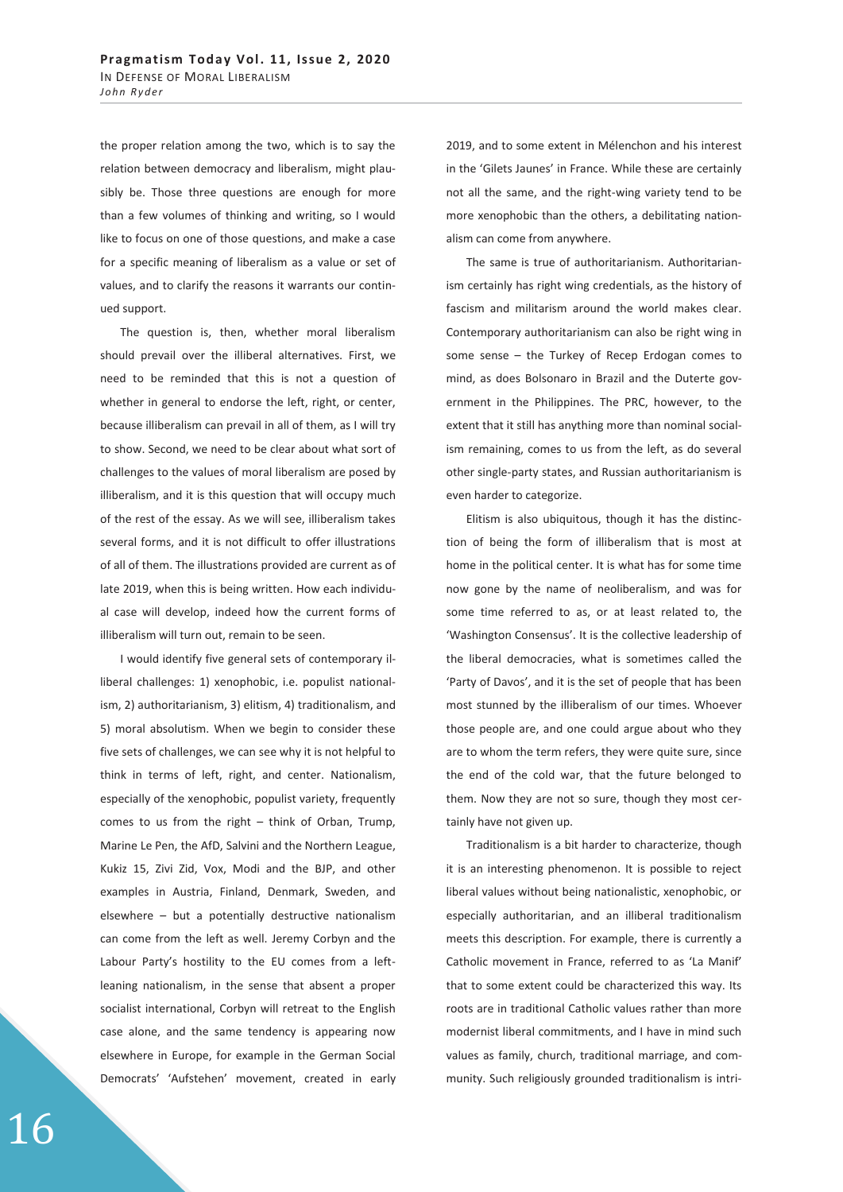the proper relation among the two, which is to say the relation between democracy and liberalism, might plausibly be. Those three questions are enough for more than a few volumes of thinking and writing, so I would like to focus on one of those questions, and make a case for a specific meaning of liberalism as a value or set of values, and to clarify the reasons it warrants our continued support.

The question is, then, whether moral liberalism should prevail over the illiberal alternatives. First, we need to be reminded that this is not a question of whether in general to endorse the left, right, or center, because illiberalism can prevail in all of them, as I will try to show. Second, we need to be clear about what sort of challenges to the values of moral liberalism are posed by illiberalism, and it is this question that will occupy much of the rest of the essay. As we will see, illiberalism takes several forms, and it is not difficult to offer illustrations of all of them. The illustrations provided are current as of late 2019, when this is being written. How each individual case will develop, indeed how the current forms of illiberalism will turn out, remain to be seen.

I would identify five general sets of contemporary illiberal challenges: 1) xenophobic, i.e. populist nationalism, 2) authoritarianism, 3) elitism, 4) traditionalism, and 5) moral absolutism. When we begin to consider these five sets of challenges, we can see why it is not helpful to think in terms of left, right, and center. Nationalism, especially of the xenophobic, populist variety, frequently comes to us from the right – think of Orban, Trump, Marine Le Pen, the AfD, Salvini and the Northern League, Kukiz 15, Zivi Zid, Vox, Modi and the BJP, and other examples in Austria, Finland, Denmark, Sweden, and elsewhere – but a potentially destructive nationalism can come from the left as well. Jeremy Corbyn and the Labour Party's hostility to the EU comes from a leftleaning nationalism, in the sense that absent a proper socialist international, Corbyn will retreat to the English case alone, and the same tendency is appearing now elsewhere in Europe, for example in the German Social Democrats' 'Aufstehen' movement, created in early

2019, and to some extent in Mélenchon and his interest in the 'Gilets Jaunes' in France. While these are certainly not all the same, and the right-wing variety tend to be more xenophobic than the others, a debilitating nationalism can come from anywhere.

The same is true of authoritarianism. Authoritarianism certainly has right wing credentials, as the history of fascism and militarism around the world makes clear. Contemporary authoritarianism can also be right wing in some sense – the Turkey of Recep Erdogan comes to mind, as does Bolsonaro in Brazil and the Duterte government in the Philippines. The PRC, however, to the extent that it still has anything more than nominal socialism remaining, comes to us from the left, as do several other single-party states, and Russian authoritarianism is even harder to categorize.

Elitism is also ubiquitous, though it has the distinction of being the form of illiberalism that is most at home in the political center. It is what has for some time now gone by the name of neoliberalism, and was for some time referred to as, or at least related to, the 'Washington Consensus'. It is the collective leadership of the liberal democracies, what is sometimes called the 'Party of Davos', and it is the set of people that has been most stunned by the illiberalism of our times. Whoever those people are, and one could argue about who they are to whom the term refers, they were quite sure, since the end of the cold war, that the future belonged to them. Now they are not so sure, though they most certainly have not given up.

Traditionalism is a bit harder to characterize, though it is an interesting phenomenon. It is possible to reject liberal values without being nationalistic, xenophobic, or especially authoritarian, and an illiberal traditionalism meets this description. For example, there is currently a Catholic movement in France, referred to as 'La Manif' that to some extent could be characterized this way. Its roots are in traditional Catholic values rather than more modernist liberal commitments, and I have in mind such values as family, church, traditional marriage, and community. Such religiously grounded traditionalism is intri-

16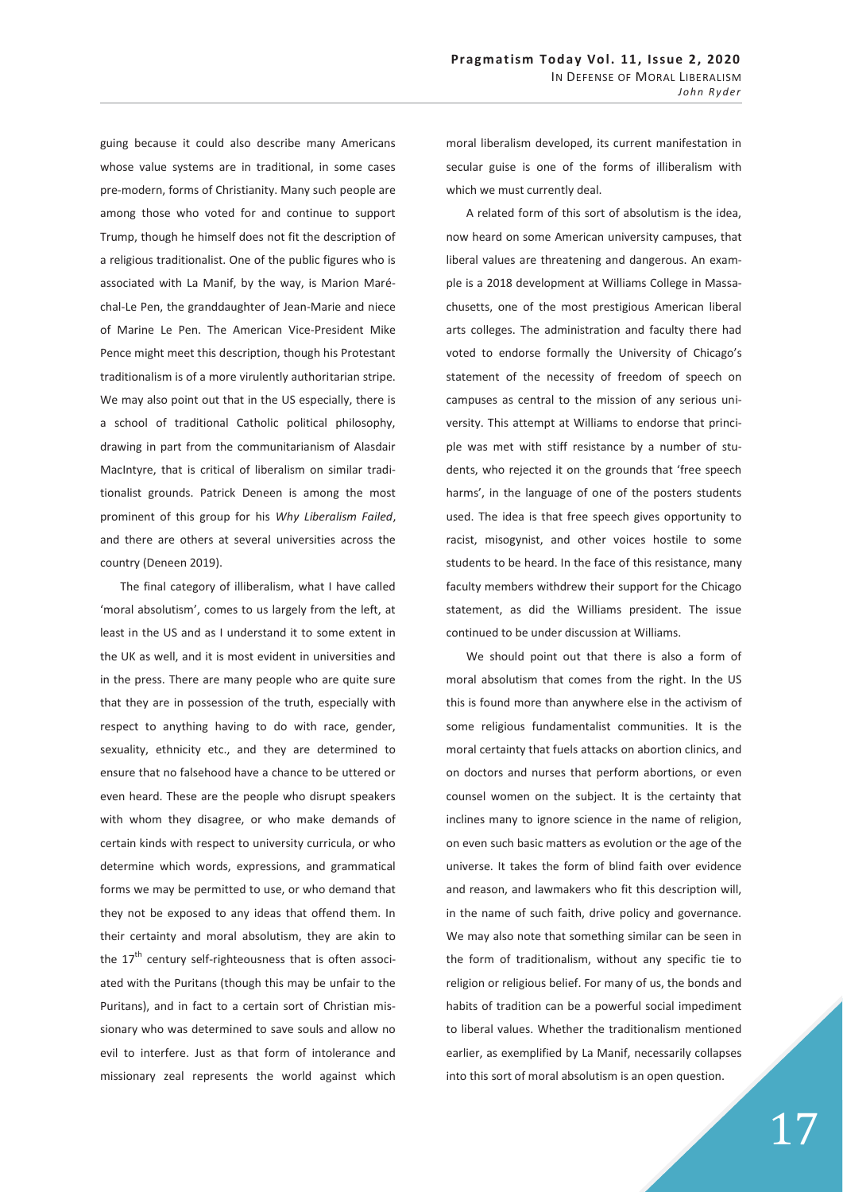guing because it could also describe many Americans whose value systems are in traditional, in some cases pre-modern, forms of Christianity. Many such people are among those who voted for and continue to support Trump, though he himself does not fit the description of a religious traditionalist. One of the public figures who is associated with La Manif, by the way, is Marion Maréchal-Le Pen, the granddaughter of Jean-Marie and niece of Marine Le Pen. The American Vice-President Mike Pence might meet this description, though his Protestant traditionalism is of a more virulently authoritarian stripe. We may also point out that in the US especially, there is a school of traditional Catholic political philosophy, drawing in part from the communitarianism of Alasdair MacIntyre, that is critical of liberalism on similar traditionalist grounds. Patrick Deneen is among the most prominent of this group for his *Why Liberalism Failed*, and there are others at several universities across the country (Deneen 2019).

The final category of illiberalism, what I have called 'moral absolutism', comes to us largely from the left, at least in the US and as I understand it to some extent in the UK as well, and it is most evident in universities and in the press. There are many people who are quite sure that they are in possession of the truth, especially with respect to anything having to do with race, gender, sexuality, ethnicity etc., and they are determined to ensure that no falsehood have a chance to be uttered or even heard. These are the people who disrupt speakers with whom they disagree, or who make demands of certain kinds with respect to university curricula, or who determine which words, expressions, and grammatical forms we may be permitted to use, or who demand that they not be exposed to any ideas that offend them. In their certainty and moral absolutism, they are akin to the  $17<sup>th</sup>$  century self-righteousness that is often associated with the Puritans (though this may be unfair to the Puritans), and in fact to a certain sort of Christian missionary who was determined to save souls and allow no evil to interfere. Just as that form of intolerance and missionary zeal represents the world against which

moral liberalism developed, its current manifestation in secular guise is one of the forms of illiberalism with which we must currently deal.

A related form of this sort of absolutism is the idea, now heard on some American university campuses, that liberal values are threatening and dangerous. An example is a 2018 development at Williams College in Massachusetts, one of the most prestigious American liberal arts colleges. The administration and faculty there had voted to endorse formally the University of Chicago's statement of the necessity of freedom of speech on campuses as central to the mission of any serious university. This attempt at Williams to endorse that principle was met with stiff resistance by a number of students, who rejected it on the grounds that 'free speech harms', in the language of one of the posters students used. The idea is that free speech gives opportunity to racist, misogynist, and other voices hostile to some students to be heard. In the face of this resistance, many faculty members withdrew their support for the Chicago statement, as did the Williams president. The issue continued to be under discussion at Williams.

We should point out that there is also a form of moral absolutism that comes from the right. In the US this is found more than anywhere else in the activism of some religious fundamentalist communities. It is the moral certainty that fuels attacks on abortion clinics, and on doctors and nurses that perform abortions, or even counsel women on the subject. It is the certainty that inclines many to ignore science in the name of religion, on even such basic matters as evolution or the age of the universe. It takes the form of blind faith over evidence and reason, and lawmakers who fit this description will, in the name of such faith, drive policy and governance. We may also note that something similar can be seen in the form of traditionalism, without any specific tie to religion or religious belief. For many of us, the bonds and habits of tradition can be a powerful social impediment to liberal values. Whether the traditionalism mentioned earlier, as exemplified by La Manif, necessarily collapses into this sort of moral absolutism is an open question.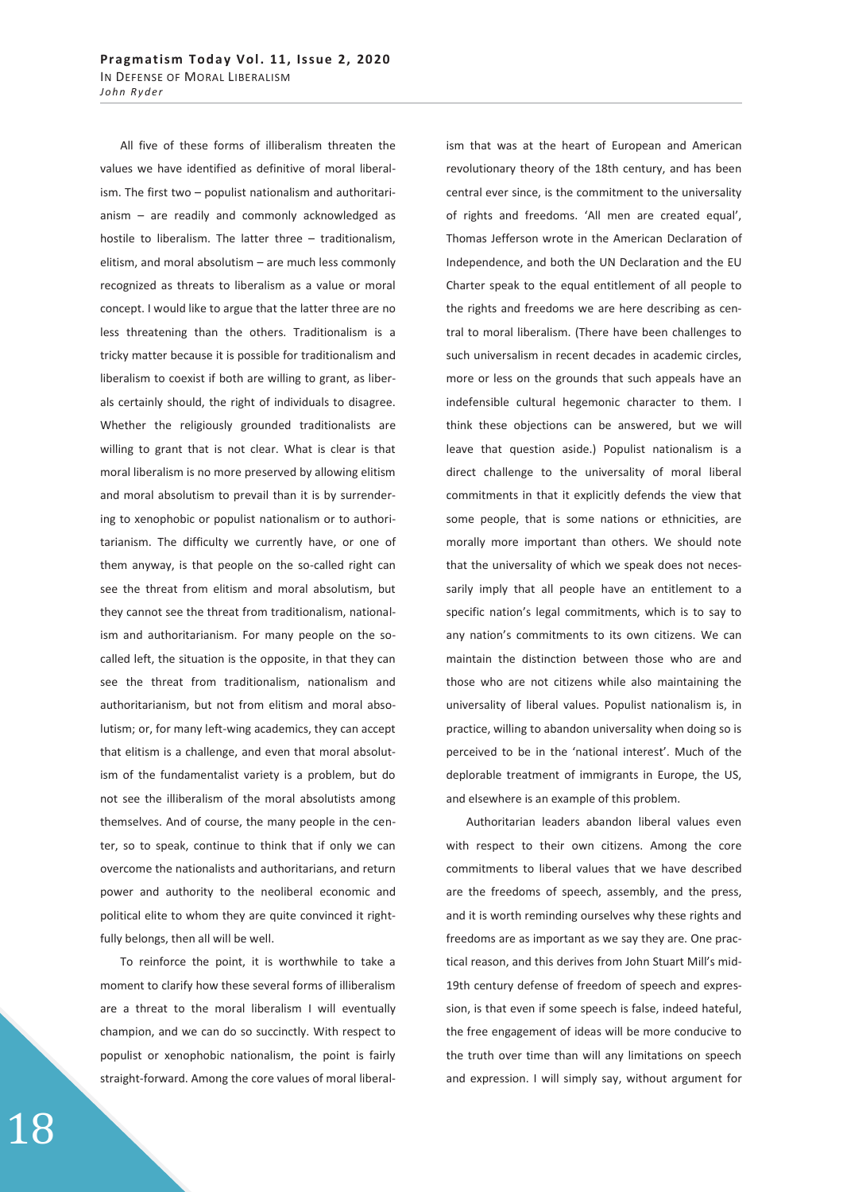All five of these forms of illiberalism threaten the values we have identified as definitive of moral liberalism. The first two – populist nationalism and authoritarianism – are readily and commonly acknowledged as hostile to liberalism. The latter three – traditionalism, elitism, and moral absolutism – are much less commonly recognized as threats to liberalism as a value or moral concept. I would like to argue that the latter three are no less threatening than the others. Traditionalism is a tricky matter because it is possible for traditionalism and liberalism to coexist if both are willing to grant, as liberals certainly should, the right of individuals to disagree. Whether the religiously grounded traditionalists are willing to grant that is not clear. What is clear is that moral liberalism is no more preserved by allowing elitism and moral absolutism to prevail than it is by surrendering to xenophobic or populist nationalism or to authoritarianism. The difficulty we currently have, or one of them anyway, is that people on the so-called right can see the threat from elitism and moral absolutism, but they cannot see the threat from traditionalism, nationalism and authoritarianism. For many people on the socalled left, the situation is the opposite, in that they can see the threat from traditionalism, nationalism and authoritarianism, but not from elitism and moral absolutism; or, for many left-wing academics, they can accept that elitism is a challenge, and even that moral absolutism of the fundamentalist variety is a problem, but do not see the illiberalism of the moral absolutists among themselves. And of course, the many people in the center, so to speak, continue to think that if only we can overcome the nationalists and authoritarians, and return power and authority to the neoliberal economic and political elite to whom they are quite convinced it rightfully belongs, then all will be well.

To reinforce the point, it is worthwhile to take a moment to clarify how these several forms of illiberalism are a threat to the moral liberalism I will eventually champion, and we can do so succinctly. With respect to populist or xenophobic nationalism, the point is fairly straight-forward. Among the core values of moral liberal-

ism that was at the heart of European and American revolutionary theory of the 18th century, and has been central ever since, is the commitment to the universality of rights and freedoms. 'All men are created equal', Thomas Jefferson wrote in the American Declaration of Independence, and both the UN Declaration and the EU Charter speak to the equal entitlement of all people to the rights and freedoms we are here describing as central to moral liberalism. (There have been challenges to such universalism in recent decades in academic circles, more or less on the grounds that such appeals have an indefensible cultural hegemonic character to them. I think these objections can be answered, but we will leave that question aside.) Populist nationalism is a direct challenge to the universality of moral liberal commitments in that it explicitly defends the view that some people, that is some nations or ethnicities, are morally more important than others. We should note that the universality of which we speak does not necessarily imply that all people have an entitlement to a specific nation's legal commitments, which is to say to any nation's commitments to its own citizens. We can maintain the distinction between those who are and those who are not citizens while also maintaining the universality of liberal values. Populist nationalism is, in practice, willing to abandon universality when doing so is perceived to be in the 'national interest'. Much of the deplorable treatment of immigrants in Europe, the US, and elsewhere is an example of this problem.

Authoritarian leaders abandon liberal values even with respect to their own citizens. Among the core commitments to liberal values that we have described are the freedoms of speech, assembly, and the press, and it is worth reminding ourselves why these rights and freedoms are as important as we say they are. One practical reason, and this derives from John Stuart Mill's mid-19th century defense of freedom of speech and expression, is that even if some speech is false, indeed hateful, the free engagement of ideas will be more conducive to the truth over time than will any limitations on speech and expression. I will simply say, without argument for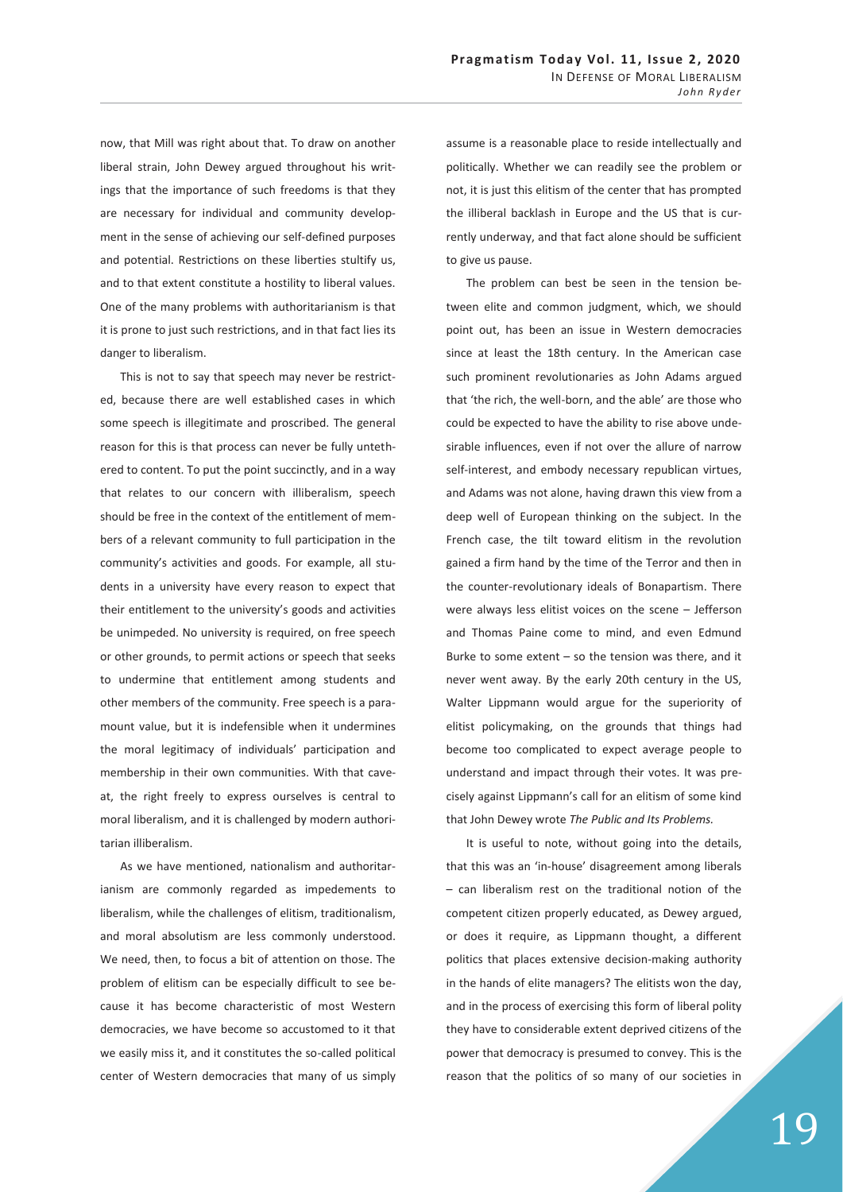now, that Mill was right about that. To draw on another liberal strain, John Dewey argued throughout his writings that the importance of such freedoms is that they are necessary for individual and community development in the sense of achieving our self-defined purposes and potential. Restrictions on these liberties stultify us, and to that extent constitute a hostility to liberal values. One of the many problems with authoritarianism is that it is prone to just such restrictions, and in that fact lies its danger to liberalism.

This is not to say that speech may never be restricted, because there are well established cases in which some speech is illegitimate and proscribed. The general reason for this is that process can never be fully untethered to content. To put the point succinctly, and in a way that relates to our concern with illiberalism, speech should be free in the context of the entitlement of members of a relevant community to full participation in the community's activities and goods. For example, all students in a university have every reason to expect that their entitlement to the university's goods and activities be unimpeded. No university is required, on free speech or other grounds, to permit actions or speech that seeks to undermine that entitlement among students and other members of the community. Free speech is a paramount value, but it is indefensible when it undermines the moral legitimacy of individuals' participation and membership in their own communities. With that caveat, the right freely to express ourselves is central to moral liberalism, and it is challenged by modern authoritarian illiberalism.

As we have mentioned, nationalism and authoritarianism are commonly regarded as impedements to liberalism, while the challenges of elitism, traditionalism, and moral absolutism are less commonly understood. We need, then, to focus a bit of attention on those. The problem of elitism can be especially difficult to see because it has become characteristic of most Western democracies, we have become so accustomed to it that we easily miss it, and it constitutes the so-called political center of Western democracies that many of us simply assume is a reasonable place to reside intellectually and politically. Whether we can readily see the problem or not, it is just this elitism of the center that has prompted the illiberal backlash in Europe and the US that is currently underway, and that fact alone should be sufficient to give us pause.

The problem can best be seen in the tension between elite and common judgment, which, we should point out, has been an issue in Western democracies since at least the 18th century. In the American case such prominent revolutionaries as John Adams argued that 'the rich, the well-born, and the able' are those who could be expected to have the ability to rise above undesirable influences, even if not over the allure of narrow self-interest, and embody necessary republican virtues, and Adams was not alone, having drawn this view from a deep well of European thinking on the subject. In the French case, the tilt toward elitism in the revolution gained a firm hand by the time of the Terror and then in the counter-revolutionary ideals of Bonapartism. There were always less elitist voices on the scene – Jefferson and Thomas Paine come to mind, and even Edmund Burke to some extent  $-$  so the tension was there, and it never went away. By the early 20th century in the US, Walter Lippmann would argue for the superiority of elitist policymaking, on the grounds that things had become too complicated to expect average people to understand and impact through their votes. It was precisely against Lippmann's call for an elitism of some kind that John Dewey wrote *The Public and Its Problems.*

It is useful to note, without going into the details, that this was an 'in-house' disagreement among liberals – can liberalism rest on the traditional notion of the competent citizen properly educated, as Dewey argued, or does it require, as Lippmann thought, a different politics that places extensive decision-making authority in the hands of elite managers? The elitists won the day, and in the process of exercising this form of liberal polity they have to considerable extent deprived citizens of the power that democracy is presumed to convey. This is the reason that the politics of so many of our societies in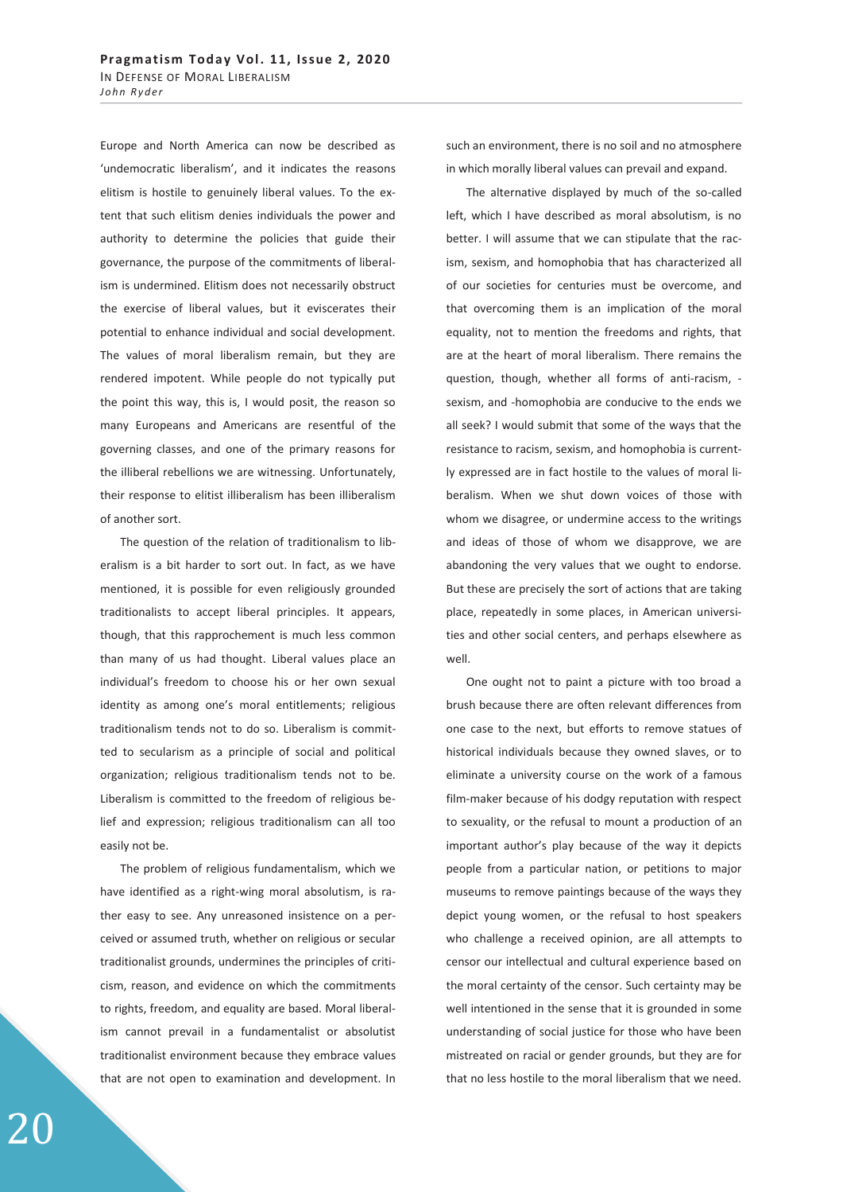Europe and North America can now be described as 'undemocratic liberalism', and it indicates the reasons elitism is hostile to genuinely liberal values. To the extent that such elitism denies individuals the power and authority to determine the policies that guide their governance, the purpose of the commitments of liberalism is undermined. Elitism does not necessarily obstruct the exercise of liberal values, but it eviscerates their potential to enhance individual and social development. The values of moral liberalism remain, but they are rendered impotent. While people do not typically put the point this way, this is, I would posit, the reason so many Europeans and Americans are resentful of the governing classes, and one of the primary reasons for the illiberal rebellions we are witnessing. Unfortunately, their response to elitist illiberalism has been illiberalism of another sort.

The question of the relation of traditionalism to liberalism is a bit harder to sort out. In fact, as we have mentioned, it is possible for even religiously grounded traditionalists to accept liberal principles. It appears, though, that this rapprochement is much less common than many of us had thought. Liberal values place an individual's freedom to choose his or her own sexual identity as among one's moral entitlements; religious traditionalism tends not to do so. Liberalism is committed to secularism as a principle of social and political organization; religious traditionalism tends not to be. Liberalism is committed to the freedom of religious belief and expression; religious traditionalism can all too easily not be.

The problem of religious fundamentalism, which we have identified as a right-wing moral absolutism, is rather easy to see. Any unreasoned insistence on a perceived or assumed truth, whether on religious or secular traditionalist grounds, undermines the principles of criticism, reason, and evidence on which the commitments to rights, freedom, and equality are based. Moral liberalism cannot prevail in a fundamentalist or absolutist traditionalist environment because they embrace values that are not open to examination and development. In such an environment, there is no soil and no atmosphere in which morally liberal values can prevail and expand.

The alternative displayed by much of the so-called left, which I have described as moral absolutism, is no better. I will assume that we can stipulate that the racism, sexism, and homophobia that has characterized all of our societies for centuries must be overcome, and that overcoming them is an implication of the moral equality, not to mention the freedoms and rights, that are at the heart of moral liberalism. There remains the question, though, whether all forms of anti-racism, sexism, and -homophobia are conducive to the ends we all seek? I would submit that some of the ways that the resistance to racism, sexism, and homophobia is currently expressed are in fact hostile to the values of moral liberalism. When we shut down voices of those with whom we disagree, or undermine access to the writings and ideas of those of whom we disapprove, we are abandoning the very values that we ought to endorse. But these are precisely the sort of actions that are taking place, repeatedly in some places, in American universities and other social centers, and perhaps elsewhere as well.

One ought not to paint a picture with too broad a brush because there are often relevant differences from one case to the next, but efforts to remove statues of historical individuals because they owned slaves, or to eliminate a university course on the work of a famous film-maker because of his dodgy reputation with respect to sexuality, or the refusal to mount a production of an important author's play because of the way it depicts people from a particular nation, or petitions to major museums to remove paintings because of the ways they depict young women, or the refusal to host speakers who challenge a received opinion, are all attempts to censor our intellectual and cultural experience based on the moral certainty of the censor. Such certainty may be well intentioned in the sense that it is grounded in some understanding of social justice for those who have been mistreated on racial or gender grounds, but they are for that no less hostile to the moral liberalism that we need.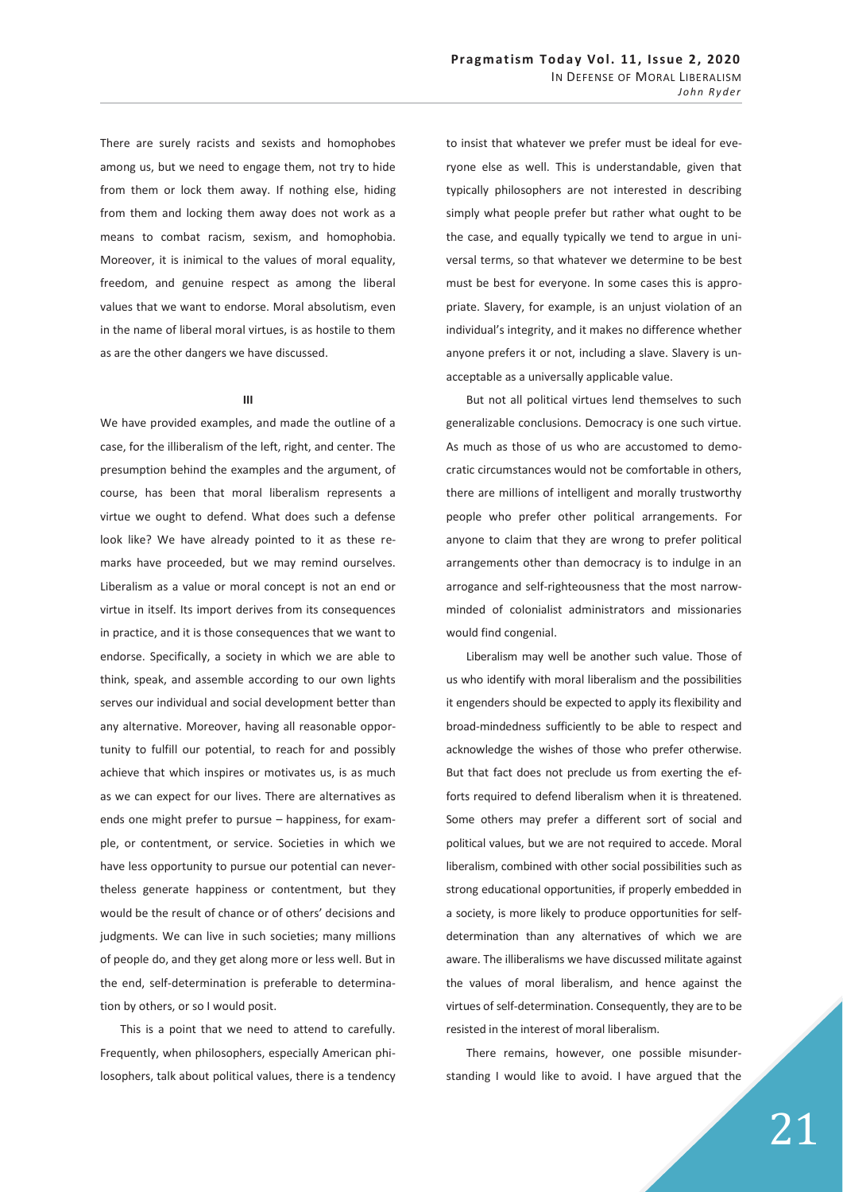There are surely racists and sexists and homophobes among us, but we need to engage them, not try to hide from them or lock them away. If nothing else, hiding from them and locking them away does not work as a means to combat racism, sexism, and homophobia. Moreover, it is inimical to the values of moral equality, freedom, and genuine respect as among the liberal values that we want to endorse. Moral absolutism, even in the name of liberal moral virtues, is as hostile to them as are the other dangers we have discussed.

## **III**

We have provided examples, and made the outline of a case, for the illiberalism of the left, right, and center. The presumption behind the examples and the argument, of course, has been that moral liberalism represents a virtue we ought to defend. What does such a defense look like? We have already pointed to it as these remarks have proceeded, but we may remind ourselves. Liberalism as a value or moral concept is not an end or virtue in itself. Its import derives from its consequences in practice, and it is those consequences that we want to endorse. Specifically, a society in which we are able to think, speak, and assemble according to our own lights serves our individual and social development better than any alternative. Moreover, having all reasonable opportunity to fulfill our potential, to reach for and possibly achieve that which inspires or motivates us, is as much as we can expect for our lives. There are alternatives as ends one might prefer to pursue – happiness, for example, or contentment, or service. Societies in which we have less opportunity to pursue our potential can nevertheless generate happiness or contentment, but they would be the result of chance or of others' decisions and judgments. We can live in such societies; many millions of people do, and they get along more or less well. But in the end, self-determination is preferable to determination by others, or so I would posit.

This is a point that we need to attend to carefully. Frequently, when philosophers, especially American philosophers, talk about political values, there is a tendency to insist that whatever we prefer must be ideal for everyone else as well. This is understandable, given that typically philosophers are not interested in describing simply what people prefer but rather what ought to be the case, and equally typically we tend to argue in universal terms, so that whatever we determine to be best must be best for everyone. In some cases this is appropriate. Slavery, for example, is an unjust violation of an individual's integrity, and it makes no difference whether anyone prefers it or not, including a slave. Slavery is unacceptable as a universally applicable value.

But not all political virtues lend themselves to such generalizable conclusions. Democracy is one such virtue. As much as those of us who are accustomed to democratic circumstances would not be comfortable in others, there are millions of intelligent and morally trustworthy people who prefer other political arrangements. For anyone to claim that they are wrong to prefer political arrangements other than democracy is to indulge in an arrogance and self-righteousness that the most narrowminded of colonialist administrators and missionaries would find congenial.

Liberalism may well be another such value. Those of us who identify with moral liberalism and the possibilities it engenders should be expected to apply its flexibility and broad-mindedness sufficiently to be able to respect and acknowledge the wishes of those who prefer otherwise. But that fact does not preclude us from exerting the efforts required to defend liberalism when it is threatened. Some others may prefer a different sort of social and political values, but we are not required to accede. Moral liberalism, combined with other social possibilities such as strong educational opportunities, if properly embedded in a society, is more likely to produce opportunities for selfdetermination than any alternatives of which we are aware. The illiberalisms we have discussed militate against the values of moral liberalism, and hence against the virtues of self-determination. Consequently, they are to be resisted in the interest of moral liberalism.

There remains, however, one possible misunderstanding I would like to avoid. I have argued that the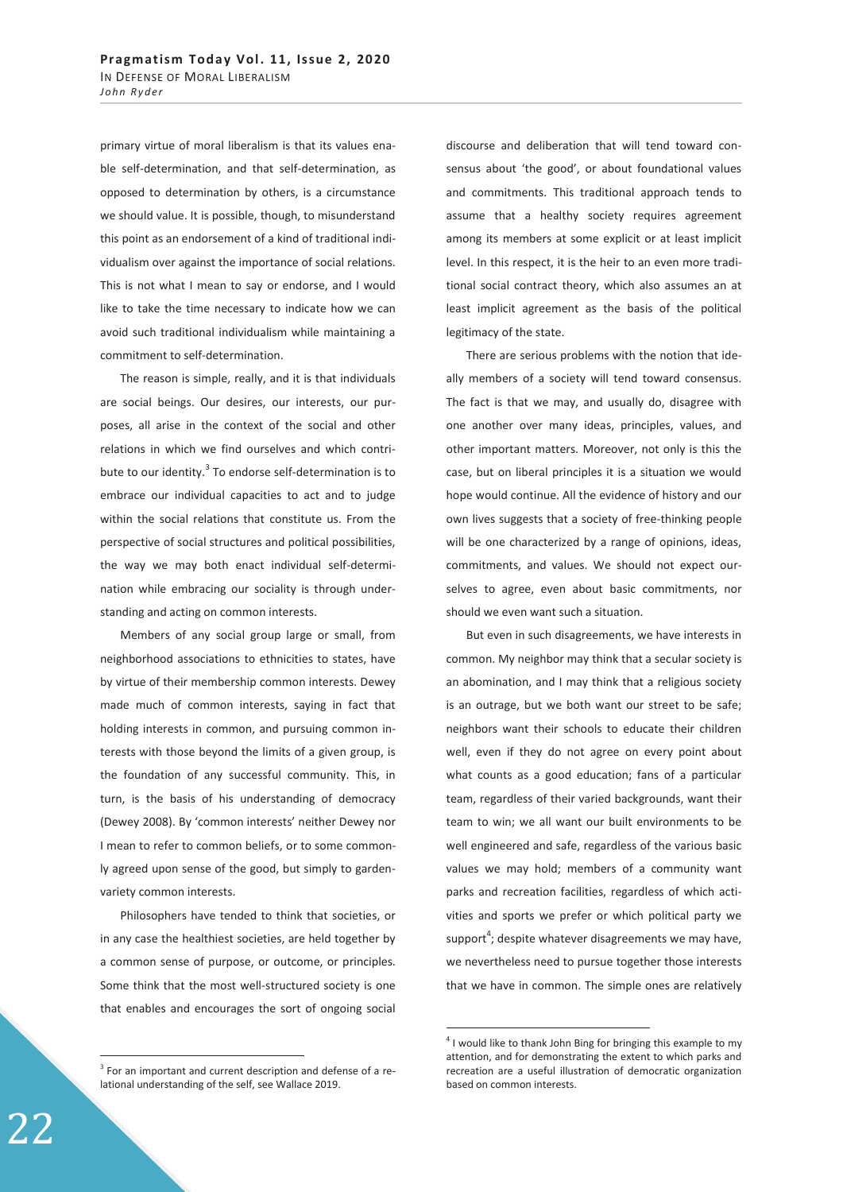primary virtue of moral liberalism is that its values enable self-determination, and that self-determination, as opposed to determination by others, is a circumstance we should value. It is possible, though, to misunderstand this point as an endorsement of a kind of traditional individualism over against the importance of social relations. This is not what I mean to say or endorse, and I would like to take the time necessary to indicate how we can avoid such traditional individualism while maintaining a commitment to self-determination.

The reason is simple, really, and it is that individuals are social beings. Our desires, our interests, our purposes, all arise in the context of the social and other relations in which we find ourselves and which contribute to our identity.<sup>3</sup> To endorse self-determination is to embrace our individual capacities to act and to judge within the social relations that constitute us. From the perspective of social structures and political possibilities, the way we may both enact individual self-determination while embracing our sociality is through understanding and acting on common interests.

Members of any social group large or small, from neighborhood associations to ethnicities to states, have by virtue of their membership common interests. Dewey made much of common interests, saying in fact that holding interests in common, and pursuing common interests with those beyond the limits of a given group, is the foundation of any successful community. This, in turn, is the basis of his understanding of democracy (Dewey 2008). By 'common interests' neither Dewey nor I mean to refer to common beliefs, or to some commonly agreed upon sense of the good, but simply to gardenvariety common interests.

Philosophers have tended to think that societies, or in any case the healthiest societies, are held together by a common sense of purpose, or outcome, or principles. Some think that the most well-structured society is one that enables and encourages the sort of ongoing social

discourse and deliberation that will tend toward consensus about 'the good', or about foundational values and commitments. This traditional approach tends to assume that a healthy society requires agreement among its members at some explicit or at least implicit level. In this respect, it is the heir to an even more traditional social contract theory, which also assumes an at least implicit agreement as the basis of the political legitimacy of the state.

There are serious problems with the notion that ideally members of a society will tend toward consensus. The fact is that we may, and usually do, disagree with one another over many ideas, principles, values, and other important matters. Moreover, not only is this the case, but on liberal principles it is a situation we would hope would continue. All the evidence of history and our own lives suggests that a society of free-thinking people will be one characterized by a range of opinions, ideas, commitments, and values. We should not expect ourselves to agree, even about basic commitments, nor should we even want such a situation.

But even in such disagreements, we have interests in common. My neighbor may think that a secular society is an abomination, and I may think that a religious society is an outrage, but we both want our street to be safe; neighbors want their schools to educate their children well, even if they do not agree on every point about what counts as a good education; fans of a particular team, regardless of their varied backgrounds, want their team to win; we all want our built environments to be well engineered and safe, regardless of the various basic values we may hold; members of a community want parks and recreation facilities, regardless of which activities and sports we prefer or which political party we support<sup>4</sup>; despite whatever disagreements we may have, we nevertheless need to pursue together those interests that we have in common. The simple ones are relatively

-

 $\overline{a}$ 

 $3$  For an important and current description and defense of a relational understanding of the self, see Wallace 2019.

 $4$  I would like to thank John Bing for bringing this example to my attention, and for demonstrating the extent to which parks and recreation are a useful illustration of democratic organization based on common interests.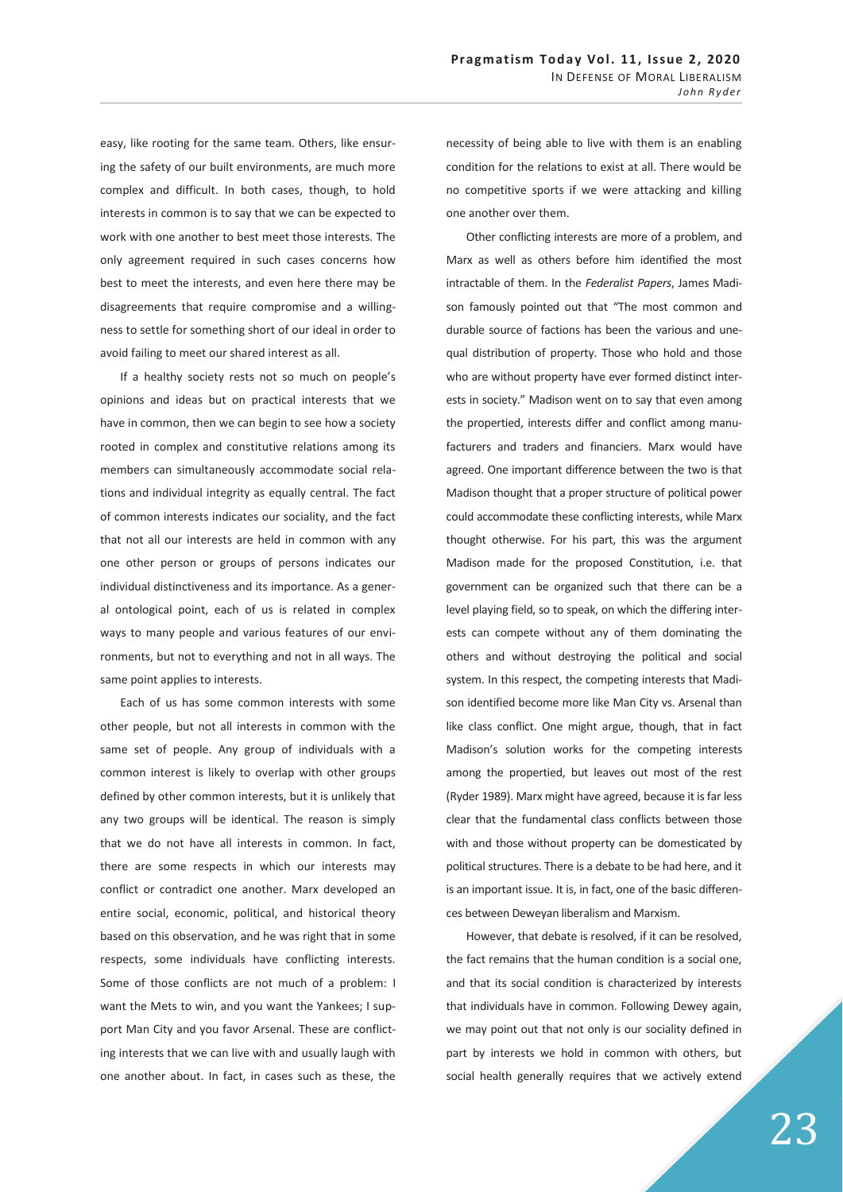easy, like rooting for the same team. Others, like ensuring the safety of our built environments, are much more complex and difficult. In both cases, though, to hold interests in common is to say that we can be expected to work with one another to best meet those interests. The only agreement required in such cases concerns how best to meet the interests, and even here there may be disagreements that require compromise and a willingness to settle for something short of our ideal in order to avoid failing to meet our shared interest as all.

If a healthy society rests not so much on people's opinions and ideas but on practical interests that we have in common, then we can begin to see how a society rooted in complex and constitutive relations among its members can simultaneously accommodate social relations and individual integrity as equally central. The fact of common interests indicates our sociality, and the fact that not all our interests are held in common with any one other person or groups of persons indicates our individual distinctiveness and its importance. As a general ontological point, each of us is related in complex ways to many people and various features of our environments, but not to everything and not in all ways. The same point applies to interests.

Each of us has some common interests with some other people, but not all interests in common with the same set of people. Any group of individuals with a common interest is likely to overlap with other groups defined by other common interests, but it is unlikely that any two groups will be identical. The reason is simply that we do not have all interests in common. In fact, there are some respects in which our interests may conflict or contradict one another. Marx developed an entire social, economic, political, and historical theory based on this observation, and he was right that in some respects, some individuals have conflicting interests. Some of those conflicts are not much of a problem: I want the Mets to win, and you want the Yankees; I support Man City and you favor Arsenal. These are conflicting interests that we can live with and usually laugh with one another about. In fact, in cases such as these, the

necessity of being able to live with them is an enabling condition for the relations to exist at all. There would be no competitive sports if we were attacking and killing one another over them.

Other conflicting interests are more of a problem, and Marx as well as others before him identified the most intractable of them. In the *Federalist Papers*, James Madison famously pointed out that "The most common and durable source of factions has been the various and unequal distribution of property. Those who hold and those who are without property have ever formed distinct interests in society." Madison went on to say that even among the propertied, interests differ and conflict among manufacturers and traders and financiers. Marx would have agreed. One important difference between the two is that Madison thought that a proper structure of political power could accommodate these conflicting interests, while Marx thought otherwise. For his part, this was the argument Madison made for the proposed Constitution, i.e. that government can be organized such that there can be a level playing field, so to speak, on which the differing interests can compete without any of them dominating the others and without destroying the political and social system. In this respect, the competing interests that Madison identified become more like Man City vs. Arsenal than like class conflict. One might argue, though, that in fact Madison's solution works for the competing interests among the propertied, but leaves out most of the rest (Ryder 1989). Marx might have agreed, because it is far less clear that the fundamental class conflicts between those with and those without property can be domesticated by political structures. There is a debate to be had here, and it is an important issue. It is, in fact, one of the basic differences between Deweyan liberalism and Marxism.

However, that debate is resolved, if it can be resolved, the fact remains that the human condition is a social one, and that its social condition is characterized by interests that individuals have in common. Following Dewey again, we may point out that not only is our sociality defined in part by interests we hold in common with others, but social health generally requires that we actively extend